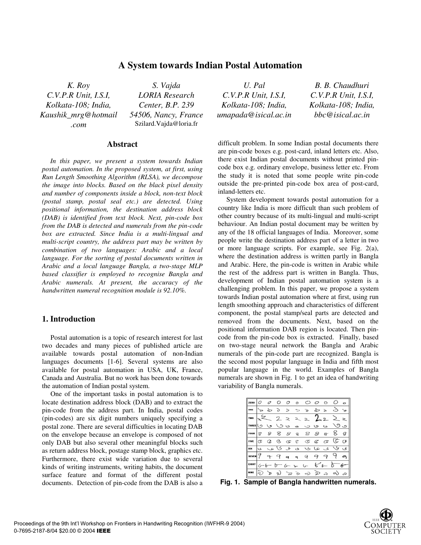# **A System towards Indian Postal Automation**

*K. Roy C.V.P.R Unit, I.S.I, Kolkata-108; India, Kaushik\_mrg@hotmail .com* 

*S. Vajda LORIA Research Center, B.P. 239 54506, Nancy, France*  Szilard.Vajda@loria.fr

#### *U. Pal C.V.P.R Unit, I.S.I, Kolkata-108; India, umapada@isical.ac.in B. B. Chaudhuri C.V.P.R Unit, I.S.I, Kolkata-108; India, bbc@isical.ac.in*

## **Abstract**

 *In this paper, we present a system towards Indian postal automation. In the proposed system, at first, using Run Length Smoothing Algorithm (RLSA), we decompose the image into blocks. Based on the black pixel density and number of components inside a block, non-text block (postal stamp, postal seal etc.) are detected. Using positional information, the destination address block (DAB) is identified from text block. Next, pin-code box from the DAB is detected and numerals from the pin-code box are extracted. Since India is a multi-lingual and multi-script country, the address part may be written by combination of two languages: Arabic and a local language. For the sorting of postal documents written in Arabic and a local language Bangla, a two-stage MLP based classifier is employed to recognise Bangla and Arabic numerals. At present, the accuracy of the handwritten numeral recognition module is 92.10%.* 

## **1. Introduction**

Postal automation is a topic of research interest for last two decades and many pieces of published article are available towards postal automation of non-Indian languages documents [1-6]. Several systems are also available for postal automation in USA, UK, France, Canada and Australia. But no work has been done towards the automation of Indian postal system.

One of the important tasks in postal automation is to locate destination address block (DAB) and to extract the pin-code from the address part. In India, postal codes (pin-codes) are six digit numbers uniquely specifying a postal zone. There are several difficulties in locating DAB on the envelope because an envelope is composed of not only DAB but also several other meaningful blocks such as return address block, postage stamp block, graphics etc. Furthermore, there exist wide variation due to several kinds of writing instruments, writing habits, the document surface feature and format of the different postal documents. Detection of pin-code from the DAB is also a

difficult problem. In some Indian postal documents there are pin-code boxes e.g. post-card, inland letters etc. Also, there exist Indian postal documents without printed pincode box e.g. ordinary envelope, business letter etc. From the study it is noted that some people write pin-code outside the pre-printed pin-code box area of post-card, inland-letters etc.

System development towards postal automation for a country like India is more difficult than such problem of other country because of its multi-lingual and multi-script behaviour. An Indian postal document may be written by any of the 18 official languages of India. Moreover, some people write the destination address part of a letter in two or more language scripts. For example, see Fig. 2(a), where the destination address is written partly in Bangla and Arabic. Here, the pin-code is written in Arabic while the rest of the address part is written in Bangla. Thus, development of Indian postal automation system is a challenging problem. In this paper, we propose a system towards Indian postal automation where at first, using run length smoothing approach and characteristics of different component, the postal stamp/seal parts are detected and removed from the documents. Next, based on the positional information DAB region is located. Then pincode from the pin-code box is extracted. Finally, based on two-stage neural network the Bangla and Arabic numerals of the pin-code part are recognized. Bangla is the second most popular language in India and fifth most popular language in the world. Examples of Bangla numerals are shown in Fig. 1 to get an idea of handwriting variability of Bangla numerals.

| O                   |
|---------------------|
|                     |
| S<br>$\rightarrow$  |
| $\geq$ $\geq$       |
| $\circ$             |
| 8 e                 |
| 3523888             |
| $3043$ $3046$ $304$ |
| 9<br>9              |
| $-\epsilon$         |
| $\infty$ $\infty$   |
|                     |

**Fig. 1. Sample of Bangla handwritten numerals.** 

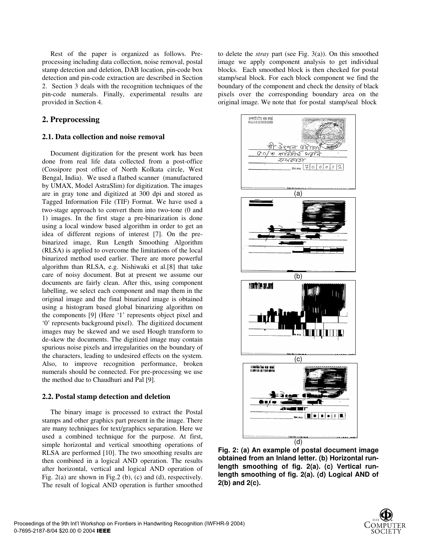Rest of the paper is organized as follows. Preprocessing including data collection, noise removal, postal stamp detection and deletion, DAB location, pin-code box detection and pin-code extraction are described in Section 2. Section 3 deals with the recognition techniques of the pin-code numerals. Finally, experimental results are provided in Section 4.

## **2. Preprocessing**

### **2.1. Data collection and noise removal**

Document digitization for the present work has been done from real life data collected from a post-office (Cossipore post office of North Kolkata circle, West Bengal, India). We used a flatbed scanner (manufactured by UMAX, Model AstraSlim) for digitization. The images are in gray tone and digitized at 300 dpi and stored as Tagged Information File (TIF) Format. We have used a two-stage approach to convert them into two-tone (0 and 1) images. In the first stage a pre-binarization is done using a local window based algorithm in order to get an idea of different regions of interest [7]. On the prebinarized image, Run Length Smoothing Algorithm (RLSA) is applied to overcome the limitations of the local binarized method used earlier. There are more powerful algorithm than RLSA, e.g. Nishiwaki et al.[8] that take care of noisy document. But at present we assume our documents are fairly clean. After this, using component labelling, we select each component and map them in the original image and the final binarized image is obtained using a histogram based global binarizing algorithm on the components [9] (Here '1' represents object pixel and '0' represents background pixel). The digitized document images may be skewed and we used Hough transform to de-skew the documents. The digitized image may contain spurious noise pixels and irregularities on the boundary of the characters, leading to undesired effects on the system. Also, to improve recognition performance, broken numerals should be connected. For pre-processing we use the method due to Chaudhuri and Pal [9].

#### **2.2. Postal stamp detection and deletion**

The binary image is processed to extract the Postal stamps and other graphics part present in the image. There are many techniques for text/graphics separation. Here we used a combined technique for the purpose. At first, simple horizontal and vertical smoothing operations of RLSA are performed [10]. The two smoothing results are then combined in a logical AND operation. The results after horizontal, vertical and logical AND operation of Fig. 2(a) are shown in Fig.2 (b), (c) and (d), respectively. The result of logical AND operation is further smoothed

to delete the *stray* part (see Fig. 3(a)). On this smoothed image we apply component analysis to get individual blocks. Each smoothed block is then checked for postal stamp/seal block. For each block component we find the boundary of the component and check the density of black pixels over the corresponding boundary area on the original image. We note that for postal stamp/seal block



**Fig. 2: (a) An example of postal document image obtained from an Inland letter. (b) Horizontal runlength smoothing of fig. 2(a). (c) Vertical runlength smoothing of fig. 2(a). (d) Logical AND of 2(b) and 2(c).** 

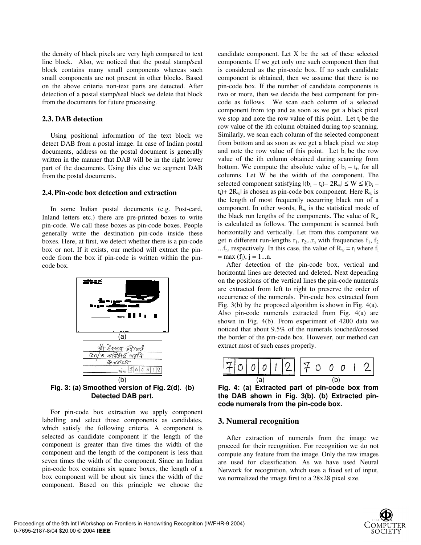the density of black pixels are very high compared to text line block. Also, we noticed that the postal stamp/seal block contains many small components whereas such small components are not present in other blocks. Based on the above criteria non-text parts are detected. After detection of a postal stamp/seal block we delete that block from the documents for future processing.

#### **2.3. DAB detection**

Using positional information of the text block we detect DAB from a postal image. In case of Indian postal documents, address on the postal document is generally written in the manner that DAB will be in the right lower part of the documents. Using this clue we segment DAB from the postal documents.

## **2.4. Pin-code box detection and extraction**

In some Indian postal documents (e.g. Post-card, Inland letters etc.) there are pre-printed boxes to write pin-code. We call these boxes as pin-code boxes. People generally write the destination pin-code inside these boxes. Here, at first, we detect whether there is a pin-code box or not. If it exists, our method will extract the pincode from the box if pin-code is written within the pincode box.



**Fig. 3: (a) Smoothed version of Fig. 2(d). (b) Detected DAB part.** 

For pin-code box extraction we apply component labelling and select those components as candidates, which satisfy the following criteria. A component is selected as candidate component if the length of the component is greater than five times the width of the component and the length of the component is less than seven times the width of the component. Since an Indian pin-code box contains six square boxes, the length of a box component will be about six times the width of the component. Based on this principle we choose the

candidate component. Let X be the set of these selected components. If we get only one such component then that is considered as the pin-code box. If no such candidate component is obtained, then we assume that there is no pin-code box. If the number of candidate components is two or more, then we decide the best component for pincode as follows. We scan each column of a selected component from top and as soon as we get a black pixel we stop and note the row value of this point. Let  $t_i$  be the row value of the ith column obtained during top scanning. Similarly, we scan each column of the selected component from bottom and as soon as we get a black pixel we stop and note the row value of this point. Let  $b_i$  be the row value of the ith column obtained during scanning from bottom. We compute the absolute value of  $b_i - t_i$ , for all columns. Let W be the width of the component. The selected component satisfying  $|(b_i - t_i) - 2R_w| \le W \le |(b_i$  $t_i$ )+ 2 $R_w$ l is chosen as pin-code box component. Here  $R_w$  is the length of most frequently occurring black run of a component. In other words,  $R_w$  is the statistical mode of the black run lengths of the components. The value of  $R_w$ is calculated as follows. The component is scanned both horizontally and vertically. Let from this component we get n different run-lengths  $r_1$ ,  $r_2$ ,  $r_n$  with frequencies  $f_1$ ,  $f_2$ ...f<sub>n</sub>, respectively. In this case, the value of  $R_w = r_i$  where f<sub>i</sub>  $=$  max (f<sub>i</sub>),  $j = 1...n$ .

After detection of the pin-code box, vertical and horizontal lines are detected and deleted. Next depending on the positions of the vertical lines the pin-code numerals are extracted from left to right to preserve the order of occurrence of the numerals. Pin-code box extracted from Fig. 3(b) by the proposed algorithm is shown in Fig. 4(a). Also pin-code numerals extracted from Fig. 4(a) are shown in Fig. 4(b). From experiment of 4200 data we noticed that about 9.5% of the numerals touched/crossed the border of the pin-code box. However, our method can extract most of such cases properly.



**Fig. 4: (a) Extracted part of pin-code box from the DAB shown in Fig. 3(b). (b) Extracted pincode numerals from the pin-code box.** 

#### **3. Numeral recognition**

After extraction of numerals from the image we proceed for their recognition. For recognition we do not compute any feature from the image. Only the raw images are used for classification. As we have used Neural Network for recognition, which uses a fixed set of input, we normalized the image first to a 28x28 pixel size.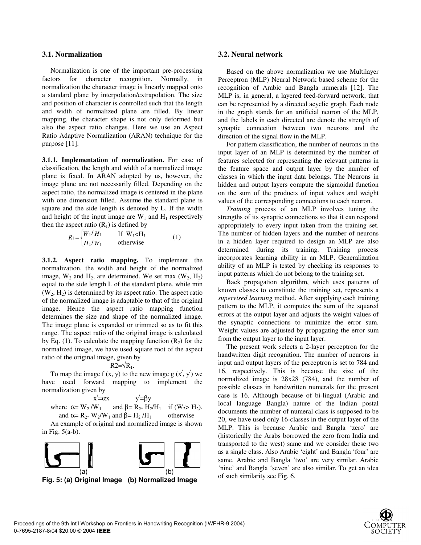#### **3.1. Normalization**

Normalization is one of the important pre-processing factors for character recognition. Normally, in normalization the character image is linearly mapped onto a standard plane by interpolation/extrapolation. The size and position of character is controlled such that the length and width of normalized plane are filled. By linear mapping, the character shape is not only deformed but also the aspect ratio changes. Here we use an Aspect Ratio Adaptive Normalization (ARAN) technique for the purpose [11].

**3.1.1. Implementation of normalization.** For ease of classification, the length and width of a normalized image plane is fixed. In ARAN adopted by us, however, the image plane are not necessarily filled. Depending on the aspect ratio, the normalized image is centered in the plane with one dimension filled. Assume the standard plane is square and the side length is denoted by L. If the width and height of the input image are  $W_1$  and  $H_1$  respectively then the aspect ratio  $(R_1)$  is defined by

$$
R_1 = \begin{cases} W_1/H_1 & \text{If } W_1 < H_1 \\ H_1/W_1 & \text{otherwise} \end{cases}
$$
 (1)

**3.1.2. Aspect ratio mapping.** To implement the normalization, the width and height of the normalized image,  $W_2$  and  $H_2$ , are determined. We set max  $(W_2, H_2)$ equal to the side length L of the standard plane, while min  $(W_2, H_2)$  is determined by its aspect ratio. The aspect ratio of the normalized image is adaptable to that of the original image. Hence the aspect ratio mapping function determines the size and shape of the normalized image. The image plane is expanded or trimmed so as to fit this range. The aspect ratio of the original image is calculated by Eq. (1). To calculate the mapping function  $(R_2)$  for the normalized image, we have used square root of the aspect ratio of the original image, given by

$$
R2 = \sqrt{R_1}.
$$

To map the image  $f(x, y)$  to the new image  $g(x', y')$  we have used forward mapping to implement the normalization given by

$$
x' = \alpha x \qquad \qquad y' = \beta y
$$

where  $\alpha = W_2/W_1$  and  $\beta = R_{2*} H_2/H_1$  if  $(W_2 > H_2)$ . and  $\alpha = R_{2*} W_2/W_1$  and  $\beta = H_2/H_1$  otherwise

An example of original and normalized image is shown in Fig. 5(a-b).



#### **3.2. Neural network**

Based on the above normalization we use Multilayer Perceptron (MLP) Neural Network based scheme for the recognition of Arabic and Bangla numerals [12]. The MLP is, in general, a layered feed-forward network, that can be represented by a directed acyclic graph. Each node in the graph stands for an artificial neuron of the MLP, and the labels in each directed arc denote the strength of synaptic connection between two neurons and the direction of the signal flow in the MLP.

For pattern classification, the number of neurons in the input layer of an MLP is determined by the number of features selected for representing the relevant patterns in the feature space and output layer by the number of classes in which the input data belongs. The Neurons in hidden and output layers compute the sigmoidal function on the sum of the products of input values and weight values of the corresponding connections to each neuron.

*Training* process of an MLP involves tuning the strengths of its synaptic connections so that it can respond appropriately to every input taken from the training set. The number of hidden layers and the number of neurons in a hidden layer required to design an MLP are also determined during its training. Training process incorporates learning ability in an MLP. Generalization ability of an MLP is tested by checking its responses to input patterns which do not belong to the training set.

Back propagation algorithm, which uses patterns of known classes to constitute the training set, represents a *supervised learning* method. After supplying each training pattern to the MLP, it computes the sum of the squared errors at the output layer and adjusts the weight values of the synaptic connections to minimize the error sum. Weight values are adjusted by propagating the error sum from the output layer to the input layer.

The present work selects a 2-layer perceptron for the handwritten digit recognition. The number of neurons in input and output layers of the perceptron is set to 784 and 16, respectively. This is because the size of the normalized image is 28x28 (784), and the number of possible classes in handwritten numerals for the present case is 16. Although because of bi-lingual (Arabic and local language Bangla) nature of the Indian postal documents the number of numeral class is supposed to be 20, we have used only 16-classes in the output layer of the MLP. This is because Arabic and Bangla 'zero' are (historically the Arabs borrowed the zero from India and transported to the west) same and we consider these two as a single class. Also Arabic 'eight' and Bangla 'four' are same. Arabic and Bangla 'two' are very similar. Arabic 'nine' and Bangla 'seven' are also similar. To get an idea of such similarity see Fig. 6.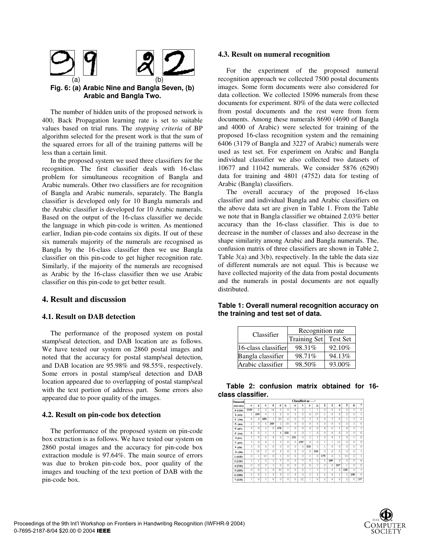

The number of hidden units of the proposed network is 400, Back Propagation learning rate is set to suitable values based on trial runs. The *stopping criteria* of BP algorithm selected for the present work is that the sum of the squared errors for all of the training patterns will be less than a certain limit.

In the proposed system we used three classifiers for the recognition. The first classifier deals with 16-class problem for simultaneous recognition of Bangla and Arabic numerals. Other two classifiers are for recognition of Bangla and Arabic numerals, separately. The Bangla classifier is developed only for 10 Bangla numerals and the Arabic classifier is developed for 10 Arabic numerals. Based on the output of the 16-class classifier we decide the language in which pin-code is written. As mentioned earlier, Indian pin-code contains six digits. If out of these six numerals majority of the numerals are recognised as Bangla by the 16-class classifier then we use Bangla classifier on this pin-code to get higher recognition rate. Similarly, if the majority of the numerals are recognised as Arabic by the 16-class classifier then we use Arabic classifier on this pin-code to get better result.

## **4. Result and discussion**

## **4.1. Result on DAB detection**

The performance of the proposed system on postal stamp/seal detection, and DAB location are as follows. We have tested our system on 2860 postal images and noted that the accuracy for postal stamp/seal detection, and DAB location are 95.98% and 98.55%, respectively. Some errors in postal stamp/seal detection and DAB location appeared due to overlapping of postal stamp/seal with the text portion of address part. Some errors also appeared due to poor quality of the images.

#### **4.2. Result on pin-code box detection**

The performance of the proposed system on pin-code box extraction is as follows. We have tested our system on 2860 postal images and the accuracy for pin-code box extraction module is 97.64%. The main source of errors was due to broken pin-code box, poor quality of the images and touching of the text portion of DAB with the pin-code box.

#### **4.3. Result on numeral recognition**

For the experiment of the proposed numeral recognition approach we collected 7500 postal documents images. Some form documents were also considered for data collection. We collected 15096 numerals from these documents for experiment. 80% of the data were collected from postal documents and the rest were from form documents. Among these numerals 8690 (4690 of Bangla and 4000 of Arabic) were selected for training of the proposed 16-class recognition system and the remaining 6406 (3179 of Bangla and 3227 of Arabic) numerals were used as test set. For experiment on Arabic and Bangla individual classifier we also collected two datasets of 10677 and 11042 numerals. We consider 5876 (6290) data for training and 4801 (4752) data for testing of Arabic (Bangla) classifiers.

The overall accuracy of the proposed 16-class classifier and individual Bangla and Arabic classifiers on the above data set are given in Table 1. From the Table we note that in Bangla classifier we obtained 2.03% better accuracy than the 16-class classifier. This is due to decrease in the number of classes and also decrease in the shape similarity among Arabic and Bangla numerals. The, confusion matrix of three classifiers are shown in Table 2, Table 3(a) and 3(b), respectively. In the table the data size of different numerals are not equal. This is because we have collected majority of the data from postal documents and the numerals in postal documents are not equally distributed.

**Table 1: Overall numeral recognition accuracy on the training and test set of data.** 

| Classifier          | Recognition rate    |                 |  |  |  |  |  |  |  |
|---------------------|---------------------|-----------------|--|--|--|--|--|--|--|
|                     | <b>Training Set</b> | <b>Test Set</b> |  |  |  |  |  |  |  |
| 16-class classifier | 98.31%              | 92.10%          |  |  |  |  |  |  |  |
| Bangla classifier   | 98.71%              | 94.13%          |  |  |  |  |  |  |  |
| Arabic classifier   | 98.50%              | 93.00%          |  |  |  |  |  |  |  |

## **Table 2: confusion matrix obtained for 16 class classifier.**

| Numeral                | $Classified as \nightharpoonup$ |                         |                |                 |                |                         |                |                         |                |                 |                |                |                         |                         |                         |                   |
|------------------------|---------------------------------|-------------------------|----------------|-----------------|----------------|-------------------------|----------------|-------------------------|----------------|-----------------|----------------|----------------|-------------------------|-------------------------|-------------------------|-------------------|
| (data size)            | $\Omega$                        | S                       | ć.             | ٠               | 8              | $\alpha$                | G              | ٩                       | b              | $\mathbf{z}$    | 1              | 3              | 4                       | 5                       | 6                       | $\overline{\tau}$ |
| 0(1226)                | 1169                            | $\overline{2}$          | $\overline{2}$ | $\overline{14}$ | 5              | $\overline{\mathbf{8}}$ | $\overline{4}$ | 5                       | ī              | ī               | $\overline{0}$ | $\overline{0}$ | $\overline{4}$          | $\overline{\mathbf{8}}$ | $\overline{\mathbf{3}}$ | $\overline{0}$    |
| 5(433)                 | 1                               | 399                     | $\overline{a}$ | 1               | $\overline{2}$ | 0                       | 5              | 0                       | 0              | $\overline{17}$ | 1              | $\theta$       | O                       | $\overline{2}$          | $\Omega$                |                   |
| 2(759)                 | $\overline{4}$                  | 8                       | 689            | $\overline{1}$  | 20             | 6                       | $\overline{0}$ | 3                       |                | $\overline{2}$  | 6              |                | $\overline{\mathbf{x}}$ |                         | 3                       | $\overline{2}$    |
| 9(303)                 | $\overline{2}$                  | $\overline{\mathbf{3}}$ | $\overline{0}$ | 269             | $\overline{2}$ | 10                      | 9              | $\overline{0}$          | $\overline{0}$ | 5               | $\overline{0}$ | $\overline{0}$ | $\overline{0}$          | $\overline{0}$          | $\overline{\mathbf{3}}$ | $\overline{0}$    |
| 8 (507)                | 3                               | $\Omega$                | $\overline{2}$ | O               | 476            | 1                       | $\Omega$       | $\overline{\mathbf{8}}$ | ō              | ō               | $\overline{4}$ | $\overline{4}$ | 1                       | $\overline{4}$          | $\overline{\mathbf{3}}$ | 1                 |
| (246)                  | $\overline{4}$                  | $\overline{2}$          | 1              | $\mathbf{1}$    | $\overline{4}$ | 233                     | $\overline{0}$ | $\overline{0}$          | 1              | $\overline{0}$  | $\overline{0}$ | $\overline{0}$ | $\overline{0}$          | $\overline{0}$          | $\overline{0}$          | $\overline{0}$    |
| 6(211)                 | ı                               | $\overline{2}$          | $\overline{0}$ | 9               | $\Omega$       | 3                       | 191            | $\overline{0}$          | $\overline{2}$ | ĩ               | $\overline{0}$ | $\overline{0}$ | 1                       | $\Omega$                | 1                       | $\overline{0}$    |
| 9(655)                 | 1                               | 0                       | 4              | ĩ               | 5              | $\Omega$                | $\Omega$       | 622                     | 0              | 0               | 1              | 1              | 11                      | $\Omega$                | $\Omega$                | 9                 |
| $b$ <sup>-</sup> (206) | 1                               | $\overline{0}$          | $\overline{0}$ | $\overline{0}$  | ō              | ō                       | $\overline{0}$ | Ō                       | 203            | ĩ               | ī              | ō              | $\overline{0}$          | $\overline{0}$          | $\overline{0}$          | ō                 |
| $\frac{1}{6}$ (206)    | 1                               | 13                      | $\overline{2}$ | $\overline{0}$  | 3              | $\Omega$                | $\overline{2}$ | $\overline{0}$          | $\overline{0}$ | 184             | $\overline{0}$ | $\Omega$       | $\overline{0}$          | $\Omega$                | 0                       | 1                 |
| 1 (418)                | $\bf{0}$                        | 1                       | 14             | 0               | ī              | 0                       | ō              | 9                       | 4              | ō               | 375            | $\theta$       | $\mathbf{1}$            | 10                      | $\overline{2}$          | 1                 |
| 3(226)                 | 1                               | 1                       | $\overline{2}$ | í               | 7              | ō                       | $\overline{0}$ | 7                       | ō              | $\overline{0}$  | 5              | 189            | $\overline{0}$          | $\overline{9}$          | $\overline{0}$          | 4                 |
| 4(216)                 | $\circ$                         | 0                       | 0              | 1               | $\Omega$       | $\Omega$                | ō              | $\overline{2}$          | 0              | ĩ               | $\overline{c}$ | $\theta$       | 207                     | 1                       | $\Omega$                | $\overline{2}$    |
| 5 (289)                | $\overline{6}$                  | $\overline{0}$          | 1              | $\overline{0}$  | 10             | $\overline{0}$          | $\overline{0}$ | $\overline{2}$          | ī              | ī               | 7              | $\overline{9}$ | $\overline{\mathbf{8}}$ | 239                     | $\overline{4}$          | ī                 |
| 6(280)                 | $\overline{0}$                  | $\overline{0}$          | 1              | 3               | 3              | 3                       | 3              | Ō                       | $\overline{2}$ | $\overline{2}$  | 2              | ō              | 1                       | $\overline{2}$          | 258                     | $\overline{0}$    |
| 7.0251                 |                                 | 0                       |                | $\overline{0}$  | $\Omega$       | $\overline{0}$          | $\overline{0}$ | 12                      | 1              | $\overline{0}$  | 2              | $\Omega$       | $\overline{Q}$          | $\overline{2}$          | 0                       | 197               |